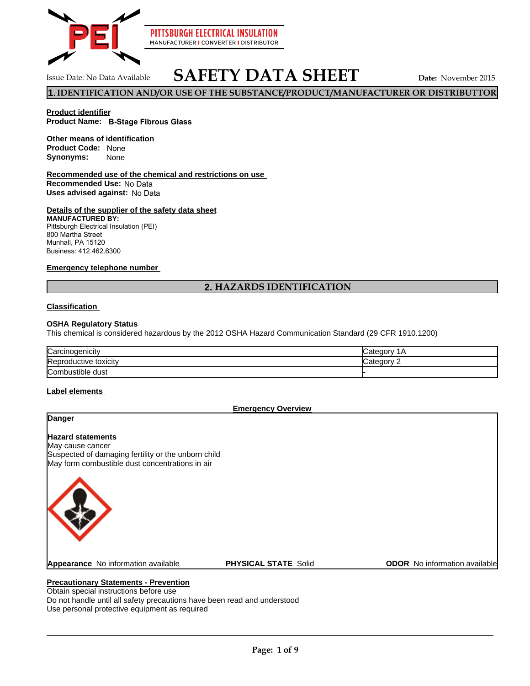

## **SAFETY DATA SHEET** Issue Date: No Data Available **Date:** November 2015

**1.IDENTIFICATION AND/OR USE OF THE SUBSTANCE/PRODUCT/MANUFACTURER OR DISTRIBUTTOR**

#### **Product identifier Product Name: B-Stage Fibrous Glass**

#### **Product Code: None Other means of identification**

**Synonyms:** None

#### **Recommended use of the chemical and restrictions on use Recommended Use:** No Data **Uses advised against:** No Data

#### **Details of the supplier of the safety data sheet**

**MANUFACTURED BY:** Pittsburgh Electrical Insulation (PEI) 800 Martha Street Munhall, PA 15120 Business: 412.462.6300

#### **Emergency telephone number**

## **2. HAZARDS IDENTIFICATION**

#### **Classification**

#### **OSHA Regulatory Status**

This chemical is considered hazardous by the 2012 OSHA Hazard Communication Standard (29 CFR 1910.1200)

| Carcinogenicity       | `atennry<br>ΊΑ        |
|-----------------------|-----------------------|
| Reproductive toxicity | `atenory<br>nualcuu . |
| Combustible dust      |                       |

#### **Label elements**

**Emergency Overview**

# **Hazard statements** May cause cancer Suspected of damaging fertility or the unborn child May form combustible dust concentrations in air **Danger Appearance** No information available **PHYSICAL STATE** Solid **ODOR** No information available

#### **Precautionary Statements - Prevention**

Obtain special instructions before use Do not handle until all safety precautions have been read and understood Use personal protective equipment as required

 $\Box$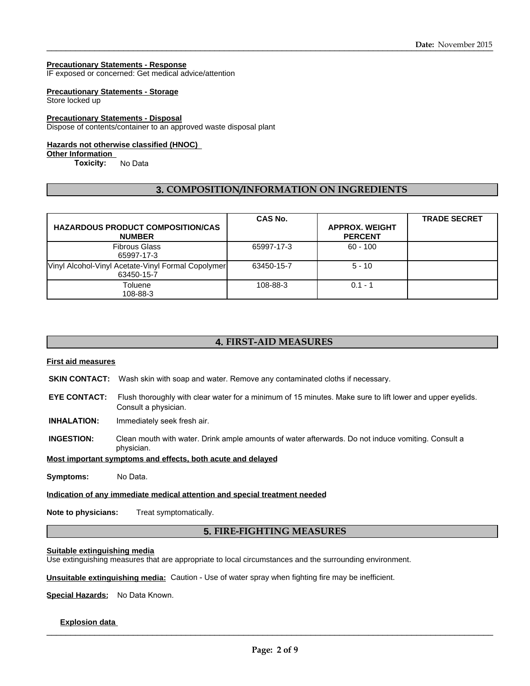#### **Precautionary Statements - Response**

IF exposed or concerned: Get medical advice/attention

#### **Precautionary Statements - Storage**

Store locked up

#### **Precautionary Statements - Disposal**

Dispose of contents/container to an approved waste disposal plant

#### **Hazards not otherwise classified (HNOC)**

#### **Other Information**

**Toxicity:** No Data

#### **3. COMPOSITION/INFORMATION ON INGREDIENTS**

| <b>HAZARDOUS PRODUCT COMPOSITION/CAS</b><br><b>NUMBER</b>        | <b>CAS No.</b> | <b>APPROX. WEIGHT</b><br><b>PERCENT</b> | <b>TRADE SECRET</b> |
|------------------------------------------------------------------|----------------|-----------------------------------------|---------------------|
| <b>Fibrous Glass</b><br>65997-17-3                               | 65997-17-3     | $60 - 100$                              |                     |
| Vinyl Alcohol-Vinyl Acetate-Vinyl Formal Copolymer<br>63450-15-7 | 63450-15-7     | $5 - 10$                                |                     |
| Toluene<br>108-88-3                                              | 108-88-3       | $0.1 - 1$                               |                     |

## **4. FIRST-AID MEASURES**

#### **First aid measures**

- **SKIN CONTACT:** Wash skin with soap and water. Remove any contaminated cloths if necessary.
- **EYE CONTACT:** Flush thoroughly with clear water for a minimum of 15 minutes. Make sure to lift lower and upper eyelids. Consult a physician.
- **INHALATION:** Immediately seek fresh air.
- **INGESTION:** Clean mouth with water. Drink ample amounts of water afterwards. Do not induce vomiting. Consult a physician.

#### **Most important symptoms and effects, both acute and delayed**

**Symptoms:** No Data.

#### **Indication of any immediate medical attention and special treatment needed**

**Note to physicians:** Treat symptomatically.

#### **5. FIRE-FIGHTING MEASURES**

#### **Suitable extinguishing media**

Use extinguishing measures that are appropriate to local circumstances and the surrounding environment.

**Unsuitable extinguishing media:** Caution - Use of water spray when fighting fire may be inefficient.

**Special Hazards:** No Data Known.

#### **Explosion data**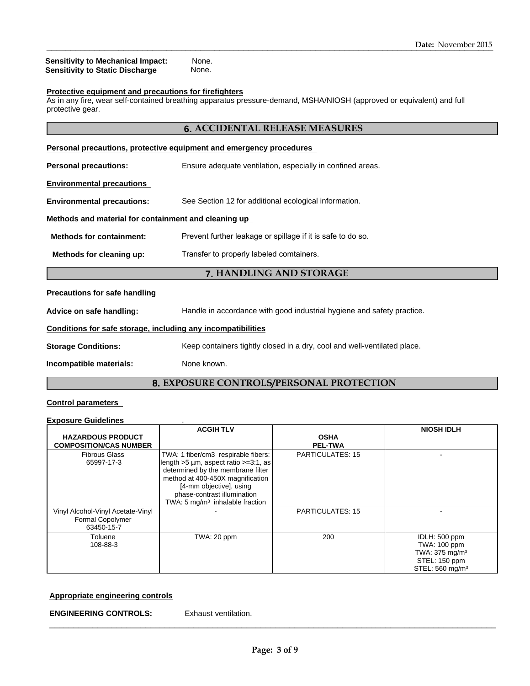**Sensitivity to Mechanical Impact:** None.<br>**Sensitivity to Static Discharge** None. **Sensitivity to Static Discharge** 

#### **Protective equipment and precautions for firefighters**

As in any fire, wear self-contained breathing apparatus pressure-demand, MSHA/NIOSH (approved or equivalent) and full protective gear.

### **6. ACCIDENTAL RELEASE MEASURES**

| Personal precautions, protective equipment and emergency procedures  |                                                                          |  |  |
|----------------------------------------------------------------------|--------------------------------------------------------------------------|--|--|
| <b>Personal precautions:</b>                                         | Ensure adequate ventilation, especially in confined areas.               |  |  |
| <b>Environmental precautions</b>                                     |                                                                          |  |  |
| <b>Environmental precautions:</b>                                    | See Section 12 for additional ecological information.                    |  |  |
| Methods and material for containment and cleaning up                 |                                                                          |  |  |
| <b>Methods for containment:</b>                                      | Prevent further leakage or spillage if it is safe to do so.              |  |  |
| Transfer to properly labeled comtainers.<br>Methods for cleaning up: |                                                                          |  |  |
| 7. HANDLING AND STORAGE                                              |                                                                          |  |  |
| <b>Precautions for safe handling</b>                                 |                                                                          |  |  |
| Advice on safe handling:                                             | Handle in accordance with good industrial hygiene and safety practice.   |  |  |
| Conditions for safe storage, including any incompatibilities         |                                                                          |  |  |
| <b>Storage Conditions:</b>                                           | Keep containers tightly closed in a dry, cool and well-ventilated place. |  |  |
| Incompatible materials:                                              | None known.                                                              |  |  |
| <b>8. EXPOSURE CONTROLS/PERSONAL PROTECTION</b>                      |                                                                          |  |  |

#### **Control parameters**

#### **Exposure Guidelines** .

|                                                                     | <b>ACGIH TLV</b>                                                                                                                                                                                                                                                       |                               | <b>NIOSH IDLH</b>                                                                                          |
|---------------------------------------------------------------------|------------------------------------------------------------------------------------------------------------------------------------------------------------------------------------------------------------------------------------------------------------------------|-------------------------------|------------------------------------------------------------------------------------------------------------|
| <b>HAZARDOUS PRODUCT</b><br><b>COMPOSITION/CAS NUMBER</b>           |                                                                                                                                                                                                                                                                        | <b>OSHA</b><br><b>PEL-TWA</b> |                                                                                                            |
| <b>Fibrous Glass</b><br>65997-17-3                                  | TWA: 1 fiber/cm3 respirable fibers:<br>llength $>5 \mu m$ , aspect ratio $>=3:1$ , as<br>determined by the membrane filter<br>method at 400-450X magnification<br>[4-mm objective], using<br>phase-contrast illumination<br>TWA: $5 \text{ mg/m}^3$ inhalable fraction | <b>PARTICULATES: 15</b>       |                                                                                                            |
| Vinyl Alcohol-Vinyl Acetate-Vinyl<br>Formal Copolymer<br>63450-15-7 |                                                                                                                                                                                                                                                                        | <b>PARTICULATES: 15</b>       |                                                                                                            |
| Toluene<br>108-88-3                                                 | TWA: 20 ppm                                                                                                                                                                                                                                                            | 200                           | IDLH: 500 ppm<br>TWA: 100 ppm<br>TWA: $375 \text{ mg/m}^3$<br>STEL: 150 ppm<br>STEL: 560 mg/m <sup>3</sup> |

## **Appropriate engineering controls**

**ENGINEERING CONTROLS:** Exhaust ventilation.

\_\_\_\_\_\_\_\_\_\_\_\_\_\_\_\_\_\_\_\_\_\_\_\_\_\_\_\_\_\_\_\_\_\_\_\_\_\_\_\_\_\_\_\_\_\_\_\_\_\_\_\_\_\_\_\_\_\_\_\_\_\_\_\_\_\_\_\_\_\_\_\_\_\_\_\_\_\_\_\_\_\_\_\_\_\_\_\_\_\_\_\_\_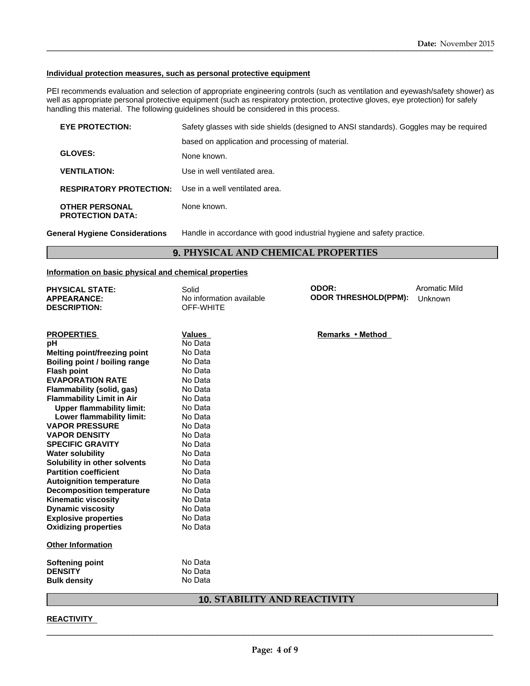#### **Individual protection measures, such as personal protective equipment**

PEI recommends evaluation and selection of appropriate engineering controls (such as ventilation and eyewash/safety shower) as well as appropriate personal protective equipment (such as respiratory protection, protective gloves, eye protection) for safely handling this material. The following guidelines should be considered in this process.

| <b>EYE PROTECTION:</b>                           | Safety glasses with side shields (designed to ANSI standards). Goggles may be required |
|--------------------------------------------------|----------------------------------------------------------------------------------------|
|                                                  | based on application and processing of material.                                       |
| <b>GLOVES:</b>                                   | None known.                                                                            |
| <b>VENTILATION:</b>                              | Use in well ventilated area.                                                           |
| <b>RESPIRATORY PROTECTION:</b>                   | Use in a well ventilated area.                                                         |
| <b>OTHER PERSONAL</b><br><b>PROTECTION DATA:</b> | None known.                                                                            |

**General Hygiene Considerations** Handle in accordance with good industrial hygiene and safety practice.

## **9. PHYSICAL AND CHEMICAL PROPERTIES**

#### **Information on basic physical and chemical properties**

| <b>PHYSICAL STATE:</b><br><b>APPEARANCE:</b><br><b>DESCRIPTION:</b> | Solid<br>No information available<br>OFF-WHITE                                                                                                                                                                                                                                                                                                                                       | ODOR:<br><b>ODOR THRESHOLD(PPM):</b> | <b>Aromatic Mild</b><br>Unknown |
|---------------------------------------------------------------------|--------------------------------------------------------------------------------------------------------------------------------------------------------------------------------------------------------------------------------------------------------------------------------------------------------------------------------------------------------------------------------------|--------------------------------------|---------------------------------|
|                                                                     |                                                                                                                                                                                                                                                                                                                                                                                      |                                      |                                 |
|                                                                     |                                                                                                                                                                                                                                                                                                                                                                                      |                                      |                                 |
| <b>PROPERTIES</b>                                                   | <b>Values</b>                                                                                                                                                                                                                                                                                                                                                                        | Remarks • Method                     |                                 |
| pH                                                                  | No Data                                                                                                                                                                                                                                                                                                                                                                              |                                      |                                 |
| <b>Melting point/freezing point</b>                                 | No Data                                                                                                                                                                                                                                                                                                                                                                              |                                      |                                 |
| Boiling point / boiling range                                       | No Data                                                                                                                                                                                                                                                                                                                                                                              |                                      |                                 |
| <b>Flash point</b>                                                  | No Data                                                                                                                                                                                                                                                                                                                                                                              |                                      |                                 |
| <b>EVAPORATION RATE</b>                                             | No Data                                                                                                                                                                                                                                                                                                                                                                              |                                      |                                 |
| <b>Flammability (solid, gas)</b>                                    | No Data                                                                                                                                                                                                                                                                                                                                                                              |                                      |                                 |
| <b>Flammability Limit in Air</b>                                    | No Data                                                                                                                                                                                                                                                                                                                                                                              |                                      |                                 |
| <b>Upper flammability limit:</b>                                    | No Data                                                                                                                                                                                                                                                                                                                                                                              |                                      |                                 |
| Lower flammability limit:                                           | No Data                                                                                                                                                                                                                                                                                                                                                                              |                                      |                                 |
| <b>VAPOR PRESSURE</b>                                               | No Data                                                                                                                                                                                                                                                                                                                                                                              |                                      |                                 |
| <b>VAPOR DENSITY</b>                                                | No Data                                                                                                                                                                                                                                                                                                                                                                              |                                      |                                 |
| <b>SPECIFIC GRAVITY</b>                                             | No Data                                                                                                                                                                                                                                                                                                                                                                              |                                      |                                 |
| <b>Water solubility</b>                                             | No Data                                                                                                                                                                                                                                                                                                                                                                              |                                      |                                 |
| Solubility in other solvents                                        | No Data                                                                                                                                                                                                                                                                                                                                                                              |                                      |                                 |
| <b>Partition coefficient</b>                                        | No Data                                                                                                                                                                                                                                                                                                                                                                              |                                      |                                 |
| <b>Autoignition temperature</b>                                     | No Data                                                                                                                                                                                                                                                                                                                                                                              |                                      |                                 |
| <b>Decomposition temperature</b>                                    | No Data                                                                                                                                                                                                                                                                                                                                                                              |                                      |                                 |
| <b>Kinematic viscosity</b>                                          | No Data                                                                                                                                                                                                                                                                                                                                                                              |                                      |                                 |
| <b>Dynamic viscosity</b>                                            | No Data                                                                                                                                                                                                                                                                                                                                                                              |                                      |                                 |
| <b>Explosive properties</b>                                         | No Data                                                                                                                                                                                                                                                                                                                                                                              |                                      |                                 |
| <b>Oxidizing properties</b>                                         | No Data                                                                                                                                                                                                                                                                                                                                                                              |                                      |                                 |
| <b>Other Information</b>                                            |                                                                                                                                                                                                                                                                                                                                                                                      |                                      |                                 |
| <b>Softening point</b>                                              | No Data                                                                                                                                                                                                                                                                                                                                                                              |                                      |                                 |
| <b>DENSITY</b>                                                      | No Data                                                                                                                                                                                                                                                                                                                                                                              |                                      |                                 |
| <b>Bulk density</b>                                                 | No Data                                                                                                                                                                                                                                                                                                                                                                              |                                      |                                 |
|                                                                     | $\overline{0}$ $\overline{1}$ $\overline{1}$ $\overline{2}$ $\overline{3}$ $\overline{4}$ $\overline{5}$ $\overline{1}$ $\overline{1}$ $\overline{1}$ $\overline{2}$ $\overline{1}$ $\overline{2}$ $\overline{1}$ $\overline{2}$ $\overline{1}$ $\overline{2}$ $\overline{2}$ $\overline{2}$ $\overline{2}$ $\overline{2}$ $\overline{2}$ $\overline{2}$ $\overline{2}$ $\overline{$ |                                      |                                 |

#### **10. STABILITY AND REACTIVITY**

 $\_$  ,  $\_$  ,  $\_$  ,  $\_$  ,  $\_$  ,  $\_$  ,  $\_$  ,  $\_$  ,  $\_$  ,  $\_$  ,  $\_$  ,  $\_$  ,  $\_$  ,  $\_$  ,  $\_$  ,  $\_$  ,  $\_$  ,  $\_$  ,  $\_$  ,  $\_$  ,  $\_$  ,  $\_$  ,  $\_$  ,  $\_$  ,  $\_$  ,  $\_$  ,  $\_$  ,  $\_$  ,  $\_$  ,  $\_$  ,  $\_$  ,  $\_$  ,  $\_$  ,  $\_$  ,  $\_$  ,  $\_$  ,  $\_$  ,

## **REACTIVITY**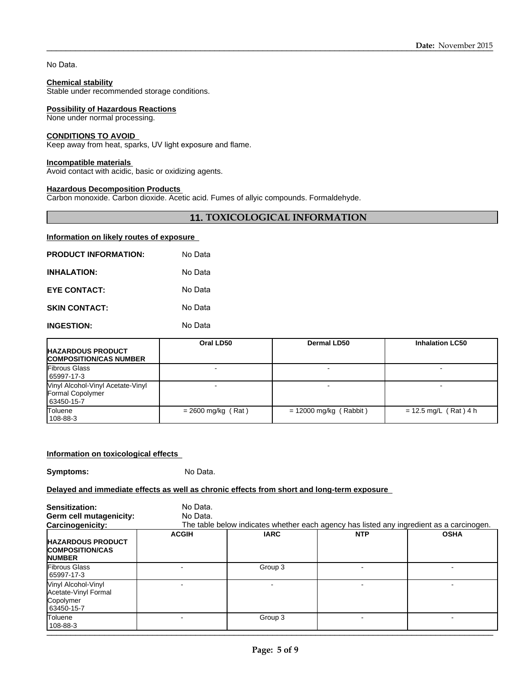No Data.

#### **Chemical stability**

Stable under recommended storage conditions.

#### **Possibility of Hazardous Reactions**

None under normal processing.

#### **CONDITIONS TO AVOID**

Keep away from heat, sparks, UV light exposure and flame.

## **Incompatible materials**

Avoid contact with acidic, basic or oxidizing agents.

### **Hazardous Decomposition Products**

Carbon monoxide. Carbon dioxide. Acetic acid. Fumes of allyic compounds. Formaldehyde.

### **11. TOXICOLOGICAL INFORMATION**

#### **Information on likely routes of exposure**

| <b>PRODUCT INFORMATION:</b> | No Data |
|-----------------------------|---------|
| <b>INHALATION:</b>          | No Data |
| <b>EYE CONTACT:</b>         | No Data |
| <b>SKIN CONTACT:</b>        | No Data |
| <b>INGESTION:</b>           | No Data |

|                                                                     | Oral LD50            | Dermal LD50              | <b>Inhalation LC50</b>  |  |
|---------------------------------------------------------------------|----------------------|--------------------------|-------------------------|--|
| <b>HAZARDOUS PRODUCT</b><br><b>COMPOSITION/CAS NUMBER</b>           |                      |                          |                         |  |
| <b>Fibrous Glass</b><br>65997-17-3                                  |                      |                          |                         |  |
| Vinyl Alcohol-Vinyl Acetate-Vinyl<br>Formal Copolymer<br>63450-15-7 |                      |                          |                         |  |
| Toluene<br>108-88-3                                                 | $= 2600$ mg/kg (Rat) | $= 12000$ mg/kg (Rabbit) | $= 12.5$ mg/L (Rat) 4 h |  |

#### **Information on toxicological effects**

**Symptoms:** No Data.

#### **Delayed and immediate effects as well as chronic effects from short and long-term exposure**

| Sensitization:<br>Germ cell mutagenicity:                                               | No Data.<br>No Data. |             |                                                                                                        |             |  |
|-----------------------------------------------------------------------------------------|----------------------|-------------|--------------------------------------------------------------------------------------------------------|-------------|--|
| Carcinogenicity:<br><b>HAZARDOUS PRODUCT</b><br><b>COMPOSITION/CAS</b><br><b>NUMBER</b> | <b>ACGIH</b>         | <b>IARC</b> | The table below indicates whether each agency has listed any ingredient as a carcinogen.<br><b>NTP</b> | <b>OSHA</b> |  |
| Fibrous Glass<br>65997-17-3                                                             |                      | Group 3     |                                                                                                        |             |  |
| Vinyl Alcohol-Vinyl<br>Acetate-Vinyl Formal<br>Copolymer<br>63450-15-7                  |                      |             |                                                                                                        |             |  |
| Toluene<br>  108-88-3                                                                   |                      | Group 3     |                                                                                                        |             |  |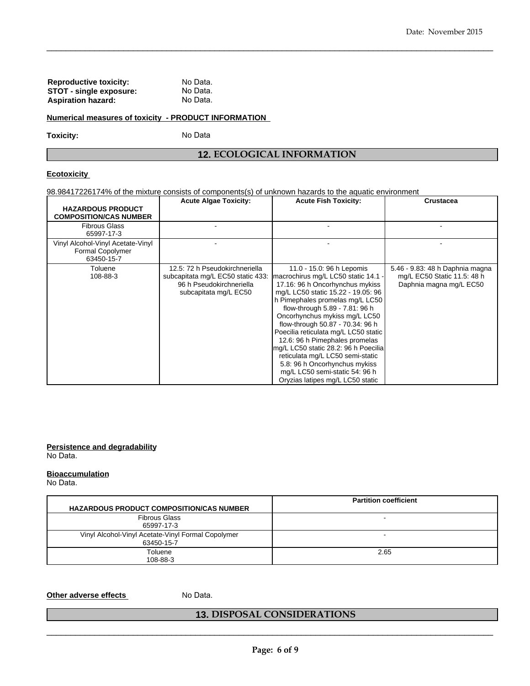| <b>Reproductive toxicity:</b> | No Data. |
|-------------------------------|----------|
| STOT - single exposure:       | No Data. |
| Aspiration hazard:            | No Data. |

#### **Numerical measures of toxicity - PRODUCT INFORMATION**

Toxicity: No Data

## **12. ECOLOGICAL INFORMATION**

 $\_$  ,  $\_$  ,  $\_$  ,  $\_$  ,  $\_$  ,  $\_$  ,  $\_$  ,  $\_$  ,  $\_$  ,  $\_$  ,  $\_$  ,  $\_$  ,  $\_$  ,  $\_$  ,  $\_$  ,  $\_$  ,  $\_$  ,  $\_$  ,  $\_$  ,  $\_$  ,  $\_$  ,  $\_$  ,  $\_$  ,  $\_$  ,  $\_$  ,  $\_$  ,  $\_$  ,  $\_$  ,  $\_$  ,  $\_$  ,  $\_$  ,  $\_$  ,  $\_$  ,  $\_$  ,  $\_$  ,  $\_$  ,  $\_$  ,

### **Ecotoxicity**

98.98417226174% of the mixture consists of components(s) of unknown hazards to the aquatic environment

|                                                                     | <b>Acute Algae Toxicity:</b>                                                                                             | <b>Acute Fish Toxicity:</b>                                                                                                                                                                                                                                                                                                                                                                                                                                                                                                                       | <b>Crustacea</b>                                                                          |
|---------------------------------------------------------------------|--------------------------------------------------------------------------------------------------------------------------|---------------------------------------------------------------------------------------------------------------------------------------------------------------------------------------------------------------------------------------------------------------------------------------------------------------------------------------------------------------------------------------------------------------------------------------------------------------------------------------------------------------------------------------------------|-------------------------------------------------------------------------------------------|
| <b>HAZARDOUS PRODUCT</b><br><b>COMPOSITION/CAS NUMBER</b>           |                                                                                                                          |                                                                                                                                                                                                                                                                                                                                                                                                                                                                                                                                                   |                                                                                           |
| <b>Fibrous Glass</b><br>65997-17-3                                  |                                                                                                                          |                                                                                                                                                                                                                                                                                                                                                                                                                                                                                                                                                   |                                                                                           |
| Vinyl Alcohol-Vinyl Acetate-Vinyl<br>Formal Copolymer<br>63450-15-7 |                                                                                                                          |                                                                                                                                                                                                                                                                                                                                                                                                                                                                                                                                                   |                                                                                           |
| Toluene<br>108-88-3                                                 | 12.5: 72 h Pseudokirchneriella<br>subcapitata mg/L EC50 static 433:<br>96 h Pseudokirchneriella<br>subcapitata mg/L EC50 | 11.0 - 15.0: 96 h Lepomis<br>macrochirus mg/L LC50 static 14.1 -<br>17.16: 96 h Oncorhynchus mykiss<br>mg/L LC50 static 15.22 - 19.05: 96<br>h Pimephales promelas mg/L LC50<br>flow-through 5.89 - 7.81: 96 h<br>Oncorhynchus mykiss mg/L LC50<br>flow-through 50.87 - 70.34: 96 h<br>Poecilia reticulata mg/L LC50 static<br>12.6: 96 h Pimephales promelas<br>lmg/L LC50 static 28.2: 96 h Poecilia<br>reticulata mg/L LC50 semi-static<br>5.8: 96 h Oncorhynchus mykiss<br>mg/L LC50 semi-static 54: 96 h<br>Oryzias latipes mg/L LC50 static | 5.46 - 9.83: 48 h Daphnia magna<br>mg/L EC50 Static 11.5: 48 h<br>Daphnia magna mg/L EC50 |

**Persistence and degradability**

No Data.

## **Bioaccumulation**

No Data.

| <b>HAZARDOUS PRODUCT COMPOSITION/CAS NUMBER</b>                  | <b>Partition coefficient</b> |
|------------------------------------------------------------------|------------------------------|
| <b>Fibrous Glass</b><br>65997-17-3                               |                              |
| Vinyl Alcohol-Vinyl Acetate-Vinyl Formal Copolymer<br>63450-15-7 |                              |
| Toluene<br>108-88-3                                              | 2.65                         |

## **Other adverse effects** No Data.

## **13. DISPOSAL CONSIDERATIONS**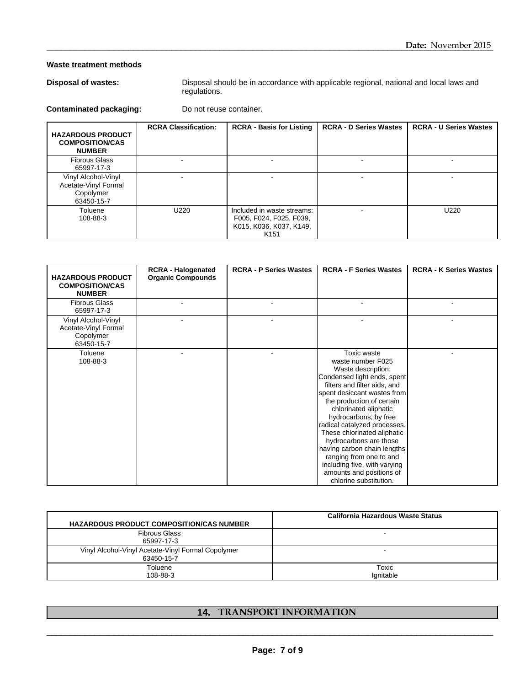## **Waste treatment methods**

|                                                                        |                                                                                                        |                                                                                                      |                               | Date: November 2015           |
|------------------------------------------------------------------------|--------------------------------------------------------------------------------------------------------|------------------------------------------------------------------------------------------------------|-------------------------------|-------------------------------|
| <b>Waste treatment methods</b>                                         |                                                                                                        |                                                                                                      |                               |                               |
| <b>Disposal of wastes:</b>                                             | Disposal should be in accordance with applicable regional, national and local laws and<br>regulations. |                                                                                                      |                               |                               |
| Do not reuse container.<br><b>Contaminated packaging:</b>              |                                                                                                        |                                                                                                      |                               |                               |
| <b>HAZARDOUS PRODUCT</b><br><b>COMPOSITION/CAS</b><br><b>NUMBER</b>    | <b>RCRA Classification:</b>                                                                            | <b>RCRA - Basis for Listing</b>                                                                      | <b>RCRA - D Series Wastes</b> | <b>RCRA - U Series Wastes</b> |
| <b>Fibrous Glass</b><br>65997-17-3                                     |                                                                                                        |                                                                                                      |                               |                               |
| Vinyl Alcohol-Vinyl<br>Acetate-Vinyl Formal<br>Copolymer<br>63450-15-7 | ٠                                                                                                      | $\overline{a}$                                                                                       | ۰                             | ۰                             |
| Toluene<br>108-88-3                                                    | U220                                                                                                   | Included in waste streams:<br>F005, F024, F025, F039,<br>K015, K036, K037, K149,<br>K <sub>151</sub> |                               | U220                          |
|                                                                        |                                                                                                        |                                                                                                      |                               |                               |
| <b>HAZARDOUS PRODUCT</b><br><b>COMPOSITION/CAS</b><br><b>NUMBER</b>    | <b>RCRA - Halogenated</b><br><b>Organic Compounds</b>                                                  | <b>RCRA - P Series Wastes</b>                                                                        | <b>RCRA - F Series Wastes</b> | <b>RCRA - K Series Wastes</b> |

| <b>HAZARDOUS PRODUCT</b><br><b>COMPOSITION/CAS</b><br><b>NUMBER</b>    | <b>RCRA - Halogenated</b><br><b>Organic Compounds</b> | <b>RCRA - P Series Wastes</b> | <b>RCRA - F Series Wastes</b>                                                                                                                                                                                                                                                                                                                                                                                                                                                       | <b>RCRA - K Series Wastes</b> |
|------------------------------------------------------------------------|-------------------------------------------------------|-------------------------------|-------------------------------------------------------------------------------------------------------------------------------------------------------------------------------------------------------------------------------------------------------------------------------------------------------------------------------------------------------------------------------------------------------------------------------------------------------------------------------------|-------------------------------|
| <b>Fibrous Glass</b><br>65997-17-3                                     |                                                       |                               |                                                                                                                                                                                                                                                                                                                                                                                                                                                                                     |                               |
| Vinyl Alcohol-Vinyl<br>Acetate-Vinyl Formal<br>Copolymer<br>63450-15-7 |                                                       |                               |                                                                                                                                                                                                                                                                                                                                                                                                                                                                                     |                               |
| Toluene<br>108-88-3                                                    |                                                       |                               | <b>Toxic waste</b><br>waste number F025<br>Waste description:<br>Condensed light ends, spent<br>filters and filter aids, and<br>spent desiccant wastes from<br>the production of certain<br>chlorinated aliphatic<br>hydrocarbons, by free<br>radical catalyzed processes.<br>These chlorinated aliphatic<br>hydrocarbons are those<br>having carbon chain lengths<br>ranging from one to and<br>including five, with varying<br>amounts and positions of<br>chlorine substitution. |                               |

| <b>HAZARDOUS PRODUCT COMPOSITION/CAS NUMBER</b>                  | California Hazardous Waste Status |
|------------------------------------------------------------------|-----------------------------------|
| <b>Fibrous Glass</b><br>65997-17-3                               |                                   |
| Vinyl Alcohol-Vinyl Acetate-Vinyl Formal Copolymer<br>63450-15-7 |                                   |
| Toluene<br>108-88-3                                              | Toxic<br>lgnitable                |

## **14. TRANSPORT INFORMATION**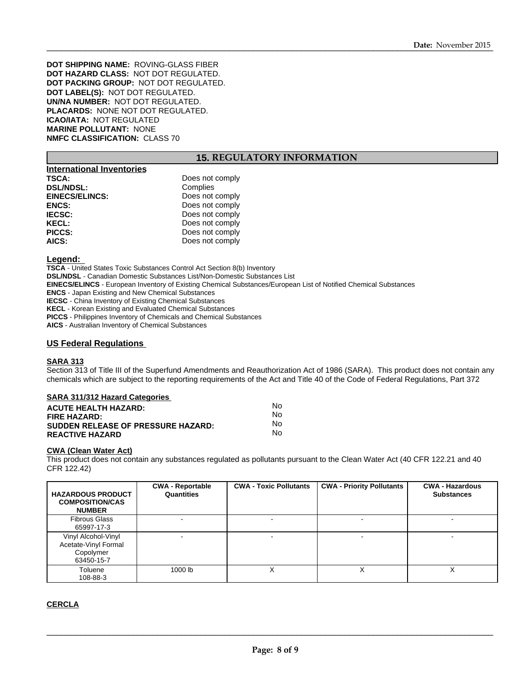**DOT SHIPPING NAME:** ROVING-GLASS FIBER **DOT HAZARD CLASS:** NOT DOT REGULATED. **DOT PACKING GROUP:** NOT DOT REGULATED. **DOT LABEL(S):** NOT DOT REGULATED. **UN/NA NUMBER:** NOT DOT REGULATED. **PLACARDS:** NONE NOT DOT REGULATED. **ICAO/IATA:** NOT REGULATED **MARINE POLLUTANT:** NONE **NMFC CLASSIFICATION:** CLASS 70

## **15. REGULATORY INFORMATION**

| <b>International Inventories</b> |                 |
|----------------------------------|-----------------|
| TSCA:                            | Does not comply |
| <b>DSL/NDSL:</b>                 | Complies        |
| <b>EINECS/ELINCS:</b>            | Does not comply |
| <b>ENCS:</b>                     | Does not comply |
| <b>IECSC:</b>                    | Does not comply |
| <b>KECL:</b>                     | Does not comply |
| PICCS:                           | Does not comply |
| AICS:                            | Does not comply |

#### **Legend:**

**TSCA** - United States Toxic Substances Control Act Section 8(b) Inventory **DSL/NDSL** - Canadian Domestic Substances List/Non-Domestic Substances List **EINECS/ELINCS** - European Inventory of Existing Chemical Substances/European List of Notified Chemical Substances **ENCS** - Japan Existing and New Chemical Substances **IECSC** - China Inventory of Existing Chemical Substances **KECL** - Korean Existing and Evaluated Chemical Substances **PICCS** - Philippines Inventory of Chemicals and Chemical Substances

**AICS** - Australian Inventory of Chemical Substances

#### **US Federal Regulations**

#### **SARA 313**

Section 313 of Title III of the Superfund Amendments and Reauthorization Act of 1986 (SARA). This product does not contain any chemicals which are subject to the reporting requirements of the Act and Title 40 of the Code of Federal Regulations, Part 372

#### **SARA 311/312 Hazard Categories**

| <b>ACUTE HEALTH HAZARD:</b>               | N٥ |
|-------------------------------------------|----|
| <b>FIRE HAZARD:</b>                       | Nο |
| <b>SUDDEN RELEASE OF PRESSURE HAZARD:</b> | Nο |
| <b>REACTIVE HAZARD</b>                    | Nο |

#### **CWA (Clean Water Act)**

|                                                                                                                           |                                       |                               | chemicals which are subject to the reporting requirements of the Act and Title 40 of the Code of Federal Regulations, Part 372                                 |                                             |
|---------------------------------------------------------------------------------------------------------------------------|---------------------------------------|-------------------------------|----------------------------------------------------------------------------------------------------------------------------------------------------------------|---------------------------------------------|
| <b>SARA 311/312 Hazard Categories</b>                                                                                     |                                       |                               |                                                                                                                                                                |                                             |
| <b>ACUTE HEALTH HAZARD:</b><br><b>FIRE HAZARD:</b><br><b>SUDDEN RELEASE OF PRESSURE HAZARD:</b><br><b>REACTIVE HAZARD</b> |                                       | No.<br>No.<br>No.             |                                                                                                                                                                |                                             |
|                                                                                                                           |                                       | No.                           |                                                                                                                                                                |                                             |
| <b>CWA (Clean Water Act)</b><br>CFR 122.42)<br><b>HAZARDOUS PRODUCT</b><br><b>COMPOSITION/CAS</b><br><b>NUMBER</b>        | <b>CWA - Reportable</b><br>Quantities | <b>CWA - Toxic Pollutants</b> | This product does not contain any substances regulated as pollutants pursuant to the Clean Water Act (40 CFR 122.21 and 40<br><b>CWA - Priority Pollutants</b> | <b>CWA - Hazardous</b><br><b>Substances</b> |
| <b>Fibrous Glass</b><br>65997-17-3                                                                                        |                                       |                               |                                                                                                                                                                |                                             |
| Vinyl Alcohol-Vinyl<br>Acetate-Vinyl Formal<br>Copolymer<br>63450-15-7                                                    |                                       |                               |                                                                                                                                                                |                                             |
| Toluene<br>108-88-3                                                                                                       | 1000 lb                               | X                             | X                                                                                                                                                              | $\times$                                    |

**CERCLA**